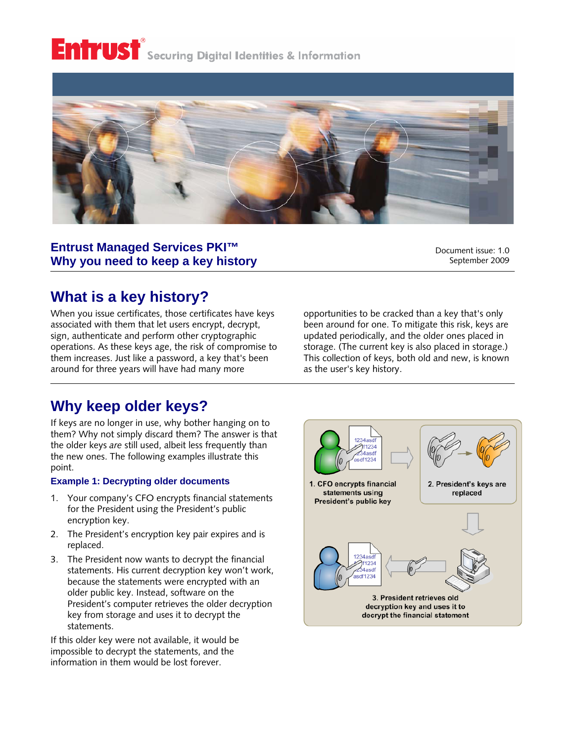# Entrust<sup>®</sup> Securing Digital Identities & Information



### **Entrust Managed Services PKI™ Why you need to keep a key history**

Document issue: 1.0 September 2009

## **What is a key history?**

When you issue certificates, those certificates have keys associated with them that let users encrypt, decrypt, sign, authenticate and perform other cryptographic operations. As these keys age, the risk of compromise to them increases. Just like a password, a key that's been around for three years will have had many more

opportunities to be cracked than a key that's only been around for one. To mitigate this risk, keys are updated periodically, and the older ones placed in storage. (The current key is also placed in storage.) This collection of keys, both old and new, is known as the user's key history.

## **Why keep older keys?**

If keys are no longer in use, why bother hanging on to them? Why not simply discard them? The answer is that the older keys *are* still used, albeit less frequently than the new ones. The following examples illustrate this point.

#### **Example 1: Decrypting older documents**

- 1. Your company's CFO encrypts financial statements for the President using the President's public encryption key.
- 2. The President's encryption key pair expires and is replaced.
- 3. The President now wants to decrypt the financial statements. His current decryption key won't work, because the statements were encrypted with an older public key. Instead, software on the President's computer retrieves the older decryption key from storage and uses it to decrypt the statements.

If this older key were not available, it would be impossible to decrypt the statements, and the information in them would be lost forever.